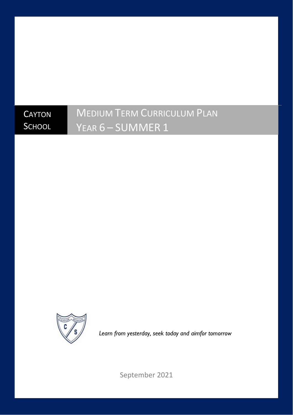# **CAYTON SCHOOL**

# MEDIUM TERM CURRICULUM PLAN YEAR 6 – SUMMER 1



*Learn from yesterday, seek today and aimfor tomorrow*

September 2021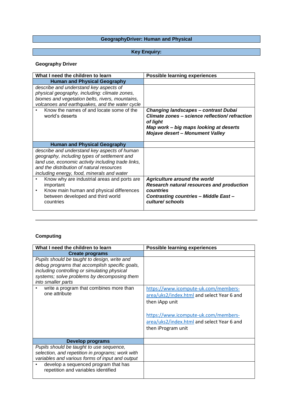# **GeographyDriver: Human and Physical**

# **Key Enquiry:**

# **Geography Driver**

| What I need the children to learn                                                                                                                                                                                                             | <b>Possible learning experiences</b>                                                                                                                                                          |
|-----------------------------------------------------------------------------------------------------------------------------------------------------------------------------------------------------------------------------------------------|-----------------------------------------------------------------------------------------------------------------------------------------------------------------------------------------------|
| <b>Human and Physical Geography</b>                                                                                                                                                                                                           |                                                                                                                                                                                               |
| describe and understand key aspects of<br>physical geography, including: climate zones,<br>biomes and vegetation belts, rivers, mountains,<br>volcanoes and earthquakes, and the water cycle<br>Know the names of and locate some of the      |                                                                                                                                                                                               |
| world's deserts                                                                                                                                                                                                                               | <b>Changing landscapes - contrast Dubai</b><br>Climate zones - science reflection/ refraction<br>of light<br>Map work - big maps looking at deserts<br><b>Mojave desert - Monument Valley</b> |
| <b>Human and Physical Geography</b>                                                                                                                                                                                                           |                                                                                                                                                                                               |
| describe and understand key aspects of human<br>geography, including types of settlement and<br>land use, economic activity including trade links,<br>and the distribution of natural resources<br>including energy, food, minerals and water |                                                                                                                                                                                               |
| Know why are industrial areas and ports are<br>important<br>Know main human and physical differences<br>٠<br>between developed and third world<br>countries                                                                                   | <b>Agriculture around the world</b><br>Research natural resources and production<br>countries<br>Contrasting countries - Middle East -<br>culture/schools                                     |

# **Computing**

| What I need the children to learn                                                                                                                                                                                   | <b>Possible learning experiences</b>                                                                                                                                                                             |
|---------------------------------------------------------------------------------------------------------------------------------------------------------------------------------------------------------------------|------------------------------------------------------------------------------------------------------------------------------------------------------------------------------------------------------------------|
| <b>Create programs</b>                                                                                                                                                                                              |                                                                                                                                                                                                                  |
| Pupils should be taught to design, write and<br>debug programs that accomplish specific goals,<br>including controlling or simulating physical<br>systems; solve problems by decomposing them<br>into smaller parts |                                                                                                                                                                                                                  |
| write a program that combines more than<br>one attribute                                                                                                                                                            | https://www.icompute-uk.com/members-<br>area/uks2/index.html and select Year 6 and<br>then iApp unit<br>https://www.icompute-uk.com/members-<br>area/uks2/index.html and select Year 6 and<br>then iProgram unit |
| Develop programs                                                                                                                                                                                                    |                                                                                                                                                                                                                  |
| Pupils should be taught to use sequence,<br>selection, and repetition in programs; work with<br>variables and various forms of input and output                                                                     |                                                                                                                                                                                                                  |
| develop a sequenced program that has<br>repetition and variables identified                                                                                                                                         |                                                                                                                                                                                                                  |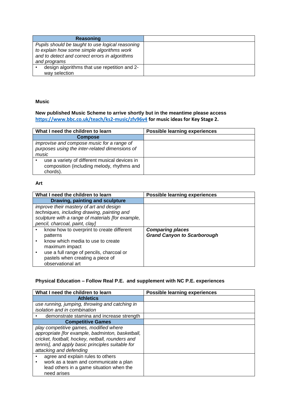| <b>Reasoning</b>                                 |
|--------------------------------------------------|
| Pupils should be taught to use logical reasoning |
| to explain how some simple algorithms work       |
| and to detect and correct errors in algorithms   |
| and programs                                     |
| design algorithms that use repetition and 2-     |
| way selection                                    |

#### **Music**

#### **New published Music Scheme to arrive shortly but in the meantime please access <https://www.bbc.co.uk/teach/ks2-music/zfv96v4> for music ideas for Key Stage 2.**

| What I need the children to learn                                                                       | Possible learning experiences |
|---------------------------------------------------------------------------------------------------------|-------------------------------|
| <b>Compose</b>                                                                                          |                               |
| improvise and compose music for a range of<br>purposes using the inter-related dimensions of            |                               |
| music                                                                                                   |                               |
| use a variety of different musical devices in<br>composition (including melody, rhythms and<br>chords). |                               |

#### **Art**

| What I need the children to learn                                                                                                                                                                                 | <b>Possible learning experiences</b>                          |
|-------------------------------------------------------------------------------------------------------------------------------------------------------------------------------------------------------------------|---------------------------------------------------------------|
| Drawing, painting and sculpture                                                                                                                                                                                   |                                                               |
| improve their mastery of art and design<br>techniques, including drawing, painting and<br>sculpture with a range of materials [for example,<br>pencil, charcoal, paint, clay]                                     |                                                               |
| know how to overprint to create different<br>patterns<br>know which media to use to create<br>maximum impact<br>use a full range of pencils, charcoal or<br>pastels when creating a piece of<br>observational art | <b>Comparing places</b><br><b>Grand Canyon to Scarborough</b> |

# **Physical Education – Follow Real P.E. and supplement with NC P.E. experiences**

| What I need the children to learn                | <b>Possible learning experiences</b> |
|--------------------------------------------------|--------------------------------------|
| <b>Athletics</b>                                 |                                      |
| use running, jumping, throwing and catching in   |                                      |
| isolation and in combination                     |                                      |
| demonstrate stamina and increase strength        |                                      |
| <b>Competitive Games</b>                         |                                      |
| play competitive games, modified where           |                                      |
| appropriate [for example, badminton, basketball, |                                      |
| cricket, football, hockey, netball, rounders and |                                      |
| tennis], and apply basic principles suitable for |                                      |
| attacking and defending                          |                                      |
| agree and explain rules to others                |                                      |
| work as a team and communicate a plan            |                                      |
| lead others in a game situation when the         |                                      |
| need arises                                      |                                      |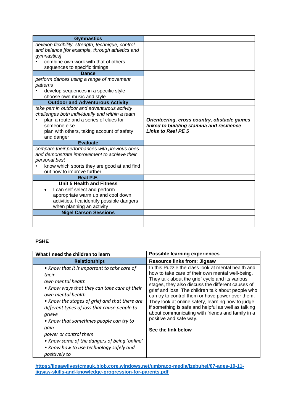| <b>Gymnastics</b>                                                       |                                             |
|-------------------------------------------------------------------------|---------------------------------------------|
| develop flexibility, strength, technique, control                       |                                             |
| and balance [for example, through athletics and                         |                                             |
| gymnastics]                                                             |                                             |
| combine own work with that of others                                    |                                             |
| sequences to specific timings<br><b>Dance</b>                           |                                             |
|                                                                         |                                             |
| perform dances using a range of movement<br>patterns                    |                                             |
| develop sequences in a specific style                                   |                                             |
| choose own music and style                                              |                                             |
| <b>Outdoor and Adventurous Activity</b>                                 |                                             |
| take part in outdoor and adventurous activity                           |                                             |
| challenges both individually and within a team                          |                                             |
| plan a route and a series of clues for                                  | Orienteering, cross country, obstacle games |
| someone else                                                            | linked to building stamina and resilience   |
| plan with others, taking account of safety                              | <b>Links to Real PE 5</b>                   |
| and danger<br><b>Evaluate</b>                                           |                                             |
| compare their performances with previous ones                           |                                             |
|                                                                         |                                             |
|                                                                         |                                             |
| and demonstrate improvement to achieve their                            |                                             |
| personal best                                                           |                                             |
| know which sports they are good at and find                             |                                             |
| out how to improve further<br>Real P.E.                                 |                                             |
| <b>Unit 5 Health and Fitness</b>                                        |                                             |
|                                                                         |                                             |
| I can self select and perform<br>appropriate warm up and cool down      |                                             |
|                                                                         |                                             |
| activities. I ca identify possible dangers<br>when planning an activity |                                             |
| <b>Nigel Carson Sessions</b>                                            |                                             |
|                                                                         |                                             |

#### **PSHE**

| What I need the children to learn                                                                                                                                                                                                                                                                                                                                                                                                                 | <b>Possible learning experiences</b>                                                                                                                                                                                                                                                                                                                                                                                                                                                                                                     |
|---------------------------------------------------------------------------------------------------------------------------------------------------------------------------------------------------------------------------------------------------------------------------------------------------------------------------------------------------------------------------------------------------------------------------------------------------|------------------------------------------------------------------------------------------------------------------------------------------------------------------------------------------------------------------------------------------------------------------------------------------------------------------------------------------------------------------------------------------------------------------------------------------------------------------------------------------------------------------------------------------|
| <b>Relationships</b>                                                                                                                                                                                                                                                                                                                                                                                                                              | <b>Resource links from: Jigsaw</b>                                                                                                                                                                                                                                                                                                                                                                                                                                                                                                       |
| • Know that it is important to take care of<br>their<br>own mental health<br>• Know ways that they can take care of their<br>own mental health<br>• Know the stages of grief and that there are<br>different types of loss that cause people to<br>grieve<br>• Know that sometimes people can try to<br>qain<br>power or control them<br>• Know some of the dangers of being 'online'<br>• Know how to use technology safely and<br>positively to | In this Puzzle the class look at mental health and<br>how to take care of their own mental well-being.<br>They talk about the grief cycle and its various<br>stages, they also discuss the different causes of<br>grief and loss. The children talk about people who<br>can try to control them or have power over them.<br>They look at online safety, learning how to judge<br>if something is safe and helpful as well as talking<br>about communicating with friends and family in a<br>positive and safe way.<br>See the link below |

**[https://jigsawlivestcmsuk.blob.core.windows.net/umbraco-media/lzebuhel/07-ages-10-11](https://jigsawlivestcmsuk.blob.core.windows.net/umbraco-media/lzebuhel/07-ages-10-11-jigsaw-skills-and-knowledge-progression-for-parents.pdf) [jigsaw-skills-and-knowledge-progression-for-parents.pdf](https://jigsawlivestcmsuk.blob.core.windows.net/umbraco-media/lzebuhel/07-ages-10-11-jigsaw-skills-and-knowledge-progression-for-parents.pdf)**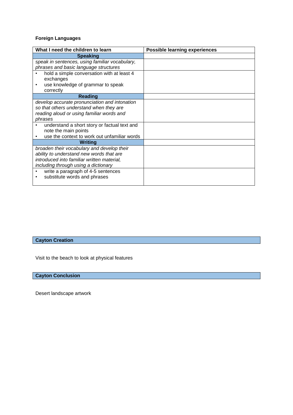# **Foreign Languages**

| What I need the children to learn              | <b>Possible learning experiences</b> |
|------------------------------------------------|--------------------------------------|
| <b>Speaking</b>                                |                                      |
| speak in sentences, using familiar vocabulary, |                                      |
| phrases and basic language structures          |                                      |
| hold a simple conversation with at least 4     |                                      |
| exchanges                                      |                                      |
| use knowledge of grammar to speak<br>٠         |                                      |
| correctly                                      |                                      |
| <b>Reading</b>                                 |                                      |
| develop accurate pronunciation and intonation  |                                      |
| so that others understand when they are        |                                      |
| reading aloud or using familiar words and      |                                      |
| phrases                                        |                                      |
| understand a short story or factual text and   |                                      |
| note the main points                           |                                      |
| use the context to work out unfamiliar words   |                                      |
| <b>Writing</b>                                 |                                      |
| broaden their vocabulary and develop their     |                                      |
| ability to understand new words that are       |                                      |
| introduced into familiar written material,     |                                      |
| including through using a dictionary           |                                      |
| write a paragraph of 4-5 sentences             |                                      |
| substitute words and phrases                   |                                      |
|                                                |                                      |

**Cayton Creation**

Visit to the beach to look at physical features

**Cayton Conclusion**

Desert landscape artwork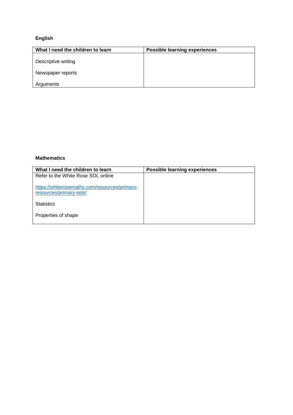# **English**

| What I need the children to learn | <b>Possible learning experiences</b> |
|-----------------------------------|--------------------------------------|
| Descriptive writing               |                                      |
| Newspaper reports                 |                                      |
| Arguments                         |                                      |

#### **Mathematics**

| What I need the children to learn                                        | <b>Possible learning experiences</b> |
|--------------------------------------------------------------------------|--------------------------------------|
| Refer to the White Rose SOL online                                       |                                      |
| https://whiterosemaths.com/resources/primary-<br>resources/primary-sols/ |                                      |
| <b>Statistics</b>                                                        |                                      |
| Properties of shape                                                      |                                      |